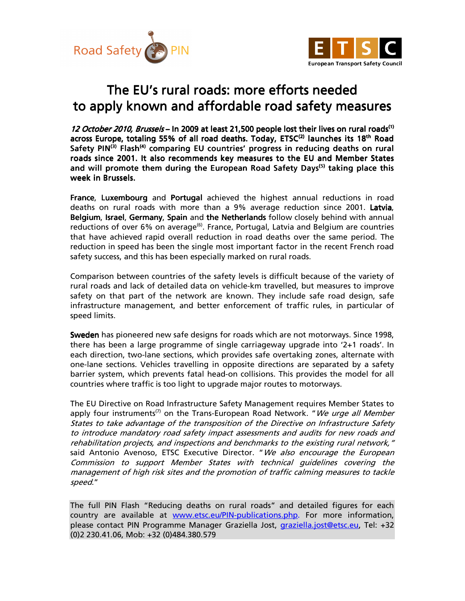



## The EU's rural roads: more efforts needed to apply known and affordable road safety measures

12 October 2010, Brussels – In 2009 at least 21,500 people lost their lives on rural roads<sup>(1)</sup> across Europe, totaling 55% of all road deaths. Today, ETSC<sup>(2)</sup> launches its 18<sup>th</sup> Road Safety PIN<sup>(3)</sup> Flash<sup>(4)</sup> comparing EU countries' progress in reducing deaths on rural roads since 2001. It also recommends key measures to the EU and Member States and will promote them during the European Road Safety Days<sup>(5)</sup> taking place this week in Brussels.

France, Luxembourg and Portugal achieved the highest annual reductions in road deaths on rural roads with more than a 9% average reduction since 2001. Latvia, Belgium, Israel, Germany, Spain and the Netherlands follow closely behind with annual reductions of over  $6\%$  on average<sup> $(6)$ </sup>. France, Portugal, Latvia and Belgium are countries that have achieved rapid overall reduction in road deaths over the same period. The reduction in speed has been the single most important factor in the recent French road safety success, and this has been especially marked on rural roads.

Comparison between countries of the safety levels is difficult because of the variety of rural roads and lack of detailed data on vehicle-km travelled, but measures to improve safety on that part of the network are known. They include safe road design, safe infrastructure management, and better enforcement of traffic rules, in particular of speed limits.

Sweden has pioneered new safe designs for roads which are not motorways. Since 1998, there has been a large programme of single carriageway upgrade into '2+1 roads'. In each direction, two-lane sections, which provides safe overtaking zones, alternate with one-lane sections. Vehicles travelling in opposite directions are separated by a safety barrier system, which prevents fatal head-on collisions. This provides the model for all countries where traffic is too light to upgrade major routes to motorways.

The EU Directive on Road Infrastructure Safety Management requires Member States to apply four instruments<sup>(7)</sup> on the Trans-European Road Network. "We urge all Member States to take advantage of the transposition of the Directive on Infrastructure Safety to introduce mandatory road safety impact assessments and audits for new roads and rehabilitation projects, and inspections and benchmarks to the existing rural network," said Antonio Avenoso, ETSC Executive Director. "We also encourage the European Commission to support Member States with technical guidelines covering the management of high risk sites and the promotion of traffic calming measures to tackle speed."

The full PIN Flash "Reducing deaths on rural roads" and detailed figures for each country are available at www.etsc.eu/PIN-publications.php. For more information, please contact PIN Programme Manager Graziella Jost, graziella.jost@etsc.eu, Tel: +32 (0)2 230.41.06, Mob: +32 (0)484.380.579